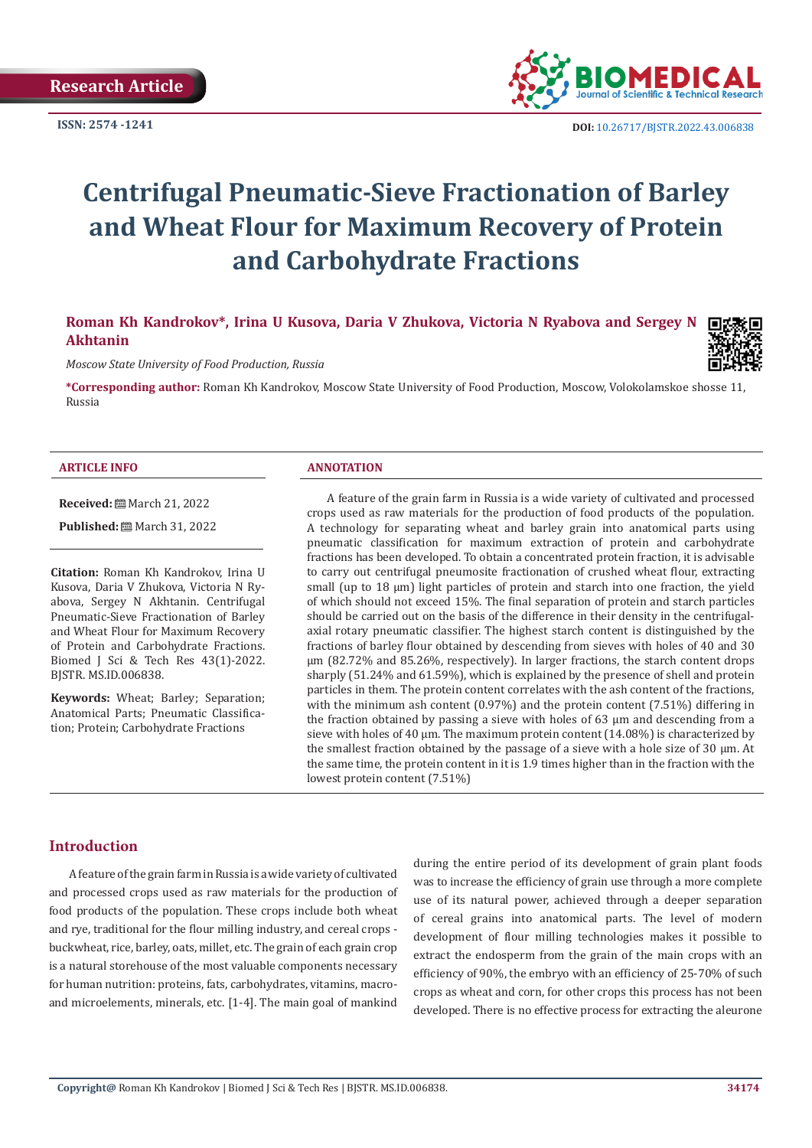

**ISSN:** 2574 -1241 **DOI:** [10.26717/BJSTR.2022.43.006838](https://dx.doi.org/10.26717/BJSTR.2022.43.006838)

# **Centrifugal Pneumatic-Sieve Fractionation of Barley and Wheat Flour for Maximum Recovery of Protein and Carbohydrate Fractions**

**Roman Kh Kandrokov\*, Irina U Kusova, Daria V Zhukova, Victoria N Ryabova and Sergey N Akhtanin**

*Moscow State University of Food Production, Russia*

**\*Corresponding author:** Roman Kh Kandrokov, Moscow State University of Food Production, Moscow, Volokolamskoe shosse 11, Russia

#### **ARTICLE INFO ANNOTATION**

**Received:** March 21, 2022

Published: [March 31, 2022]

**Citation:** Roman Kh Kandrokov, Irina U Kusova, Daria V Zhukova, Victoria N Ryabova, Sergey N Akhtanin. Centrifugal Pneumatic-Sieve Fractionation of Barley and Wheat Flour for Maximum Recovery of Protein and Carbohydrate Fractions. Biomed J Sci & Tech Res 43(1)-2022. BJSTR. MS.ID.006838.

**Keywords:** Wheat; Barley; Separation; Anatomical Parts; Pneumatic Classification; Protein; Carbohydrate Fractions

A feature of the grain farm in Russia is a wide variety of cultivated and processed crops used as raw materials for the production of food products of the population. A technology for separating wheat and barley grain into anatomical parts using pneumatic classification for maximum extraction of protein and carbohydrate fractions has been developed. To obtain a concentrated protein fraction, it is advisable to carry out centrifugal pneumosite fractionation of crushed wheat flour, extracting small (up to 18 μm) light particles of protein and starch into one fraction, the yield of which should not exceed 15%. The final separation of protein and starch particles should be carried out on the basis of the difference in their density in the centrifugalaxial rotary pneumatic classifier. The highest starch content is distinguished by the fractions of barley flour obtained by descending from sieves with holes of 40 and 30 μm (82.72% and 85.26%, respectively). In larger fractions, the starch content drops sharply (51.24% and 61.59%), which is explained by the presence of shell and protein particles in them. The protein content correlates with the ash content of the fractions, with the minimum ash content (0.97%) and the protein content (7.51%) differing in the fraction obtained by passing a sieve with holes of 63 μm and descending from a sieve with holes of 40  $\mu$ m. The maximum protein content (14.08%) is characterized by the smallest fraction obtained by the passage of a sieve with a hole size of 30  $\mu$ m. At the same time, the protein content in it is 1.9 times higher than in the fraction with the lowest protein content (7.51%)

# **Introduction**

A feature of the grain farm in Russia is a wide variety of cultivated and processed crops used as raw materials for the production of food products of the population. These crops include both wheat and rye, traditional for the flour milling industry, and cereal crops buckwheat, rice, barley, oats, millet, etc. The grain of each grain crop is a natural storehouse of the most valuable components necessary for human nutrition: proteins, fats, carbohydrates, vitamins, macroand microelements, minerals, etc. [1-4]. The main goal of mankind

during the entire period of its development of grain plant foods was to increase the efficiency of grain use through a more complete use of its natural power, achieved through a deeper separation of cereal grains into anatomical parts. The level of modern development of flour milling technologies makes it possible to extract the endosperm from the grain of the main crops with an efficiency of 90%, the embryo with an efficiency of 25-70% of such crops as wheat and corn, for other crops this process has not been developed. There is no effective process for extracting the aleurone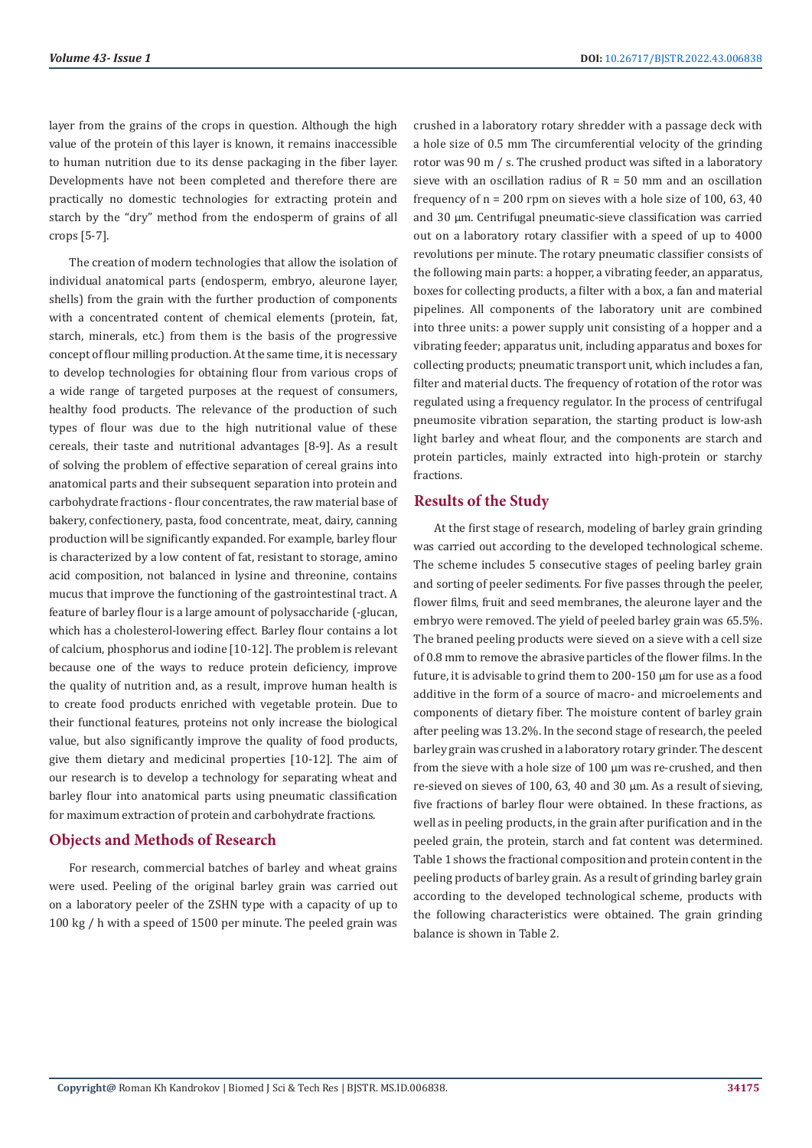layer from the grains of the crops in question. Although the high value of the protein of this layer is known, it remains inaccessible to human nutrition due to its dense packaging in the fiber layer. Developments have not been completed and therefore there are practically no domestic technologies for extracting protein and starch by the "dry" method from the endosperm of grains of all crops [5-7].

The creation of modern technologies that allow the isolation of individual anatomical parts (endosperm, embryo, aleurone layer, shells) from the grain with the further production of components with a concentrated content of chemical elements (protein, fat, starch, minerals, etc.) from them is the basis of the progressive concept of flour milling production. At the same time, it is necessary to develop technologies for obtaining flour from various crops of a wide range of targeted purposes at the request of consumers, healthy food products. The relevance of the production of such types of flour was due to the high nutritional value of these cereals, their taste and nutritional advantages [8-9]. As a result of solving the problem of effective separation of cereal grains into anatomical parts and their subsequent separation into protein and carbohydrate fractions - flour concentrates, the raw material base of bakery, confectionery, pasta, food concentrate, meat, dairy, canning production will be significantly expanded. For example, barley flour is characterized by a low content of fat, resistant to storage, amino acid composition, not balanced in lysine and threonine, contains mucus that improve the functioning of the gastrointestinal tract. A feature of barley flour is a large amount of polysaccharide (-glucan, which has a cholesterol-lowering effect. Barley flour contains a lot of calcium, phosphorus and iodine [10-12]. The problem is relevant because one of the ways to reduce protein deficiency, improve the quality of nutrition and, as a result, improve human health is to create food products enriched with vegetable protein. Due to their functional features, proteins not only increase the biological value, but also significantly improve the quality of food products, give them dietary and medicinal properties [10-12]. The aim of our research is to develop a technology for separating wheat and barley flour into anatomical parts using pneumatic classification for maximum extraction of protein and carbohydrate fractions.

# **Objects and Methods of Research**

For research, commercial batches of barley and wheat grains were used. Peeling of the original barley grain was carried out on a laboratory peeler of the ZSHN type with a capacity of up to 100 kg / h with a speed of 1500 per minute. The peeled grain was

crushed in a laboratory rotary shredder with a passage deck with a hole size of 0.5 mm The circumferential velocity of the grinding rotor was 90 m / s. The crushed product was sifted in a laboratory sieve with an oscillation radius of  $R = 50$  mm and an oscillation frequency of n = 200 rpm on sieves with a hole size of 100, 63, 40 and 30 μm. Centrifugal pneumatic-sieve classification was carried out on a laboratory rotary classifier with a speed of up to 4000 revolutions per minute. The rotary pneumatic classifier consists of the following main parts: a hopper, a vibrating feeder, an apparatus, boxes for collecting products, a filter with a box, a fan and material pipelines. All components of the laboratory unit are combined into three units: a power supply unit consisting of a hopper and a vibrating feeder; apparatus unit, including apparatus and boxes for collecting products; pneumatic transport unit, which includes a fan, filter and material ducts. The frequency of rotation of the rotor was regulated using a frequency regulator. In the process of centrifugal pneumosite vibration separation, the starting product is low-ash light barley and wheat flour, and the components are starch and protein particles, mainly extracted into high-protein or starchy fractions.

# **Results of the Study**

At the first stage of research, modeling of barley grain grinding was carried out according to the developed technological scheme. The scheme includes 5 consecutive stages of peeling barley grain and sorting of peeler sediments. For five passes through the peeler, flower films, fruit and seed membranes, the aleurone layer and the embryo were removed. The yield of peeled barley grain was 65.5%. The braned peeling products were sieved on a sieve with a cell size of 0.8 mm to remove the abrasive particles of the flower films. In the future, it is advisable to grind them to 200-150 μm for use as a food additive in the form of a source of macro- and microelements and components of dietary fiber. The moisture content of barley grain after peeling was 13.2%. In the second stage of research, the peeled barley grain was crushed in a laboratory rotary grinder. The descent from the sieve with a hole size of 100 μm was re-crushed, and then re-sieved on sieves of 100, 63, 40 and 30 μm. As a result of sieving, five fractions of barley flour were obtained. In these fractions, as well as in peeling products, in the grain after purification and in the peeled grain, the protein, starch and fat content was determined. Table 1 shows the fractional composition and protein content in the peeling products of barley grain. As a result of grinding barley grain according to the developed technological scheme, products with the following characteristics were obtained. The grain grinding balance is shown in Table 2.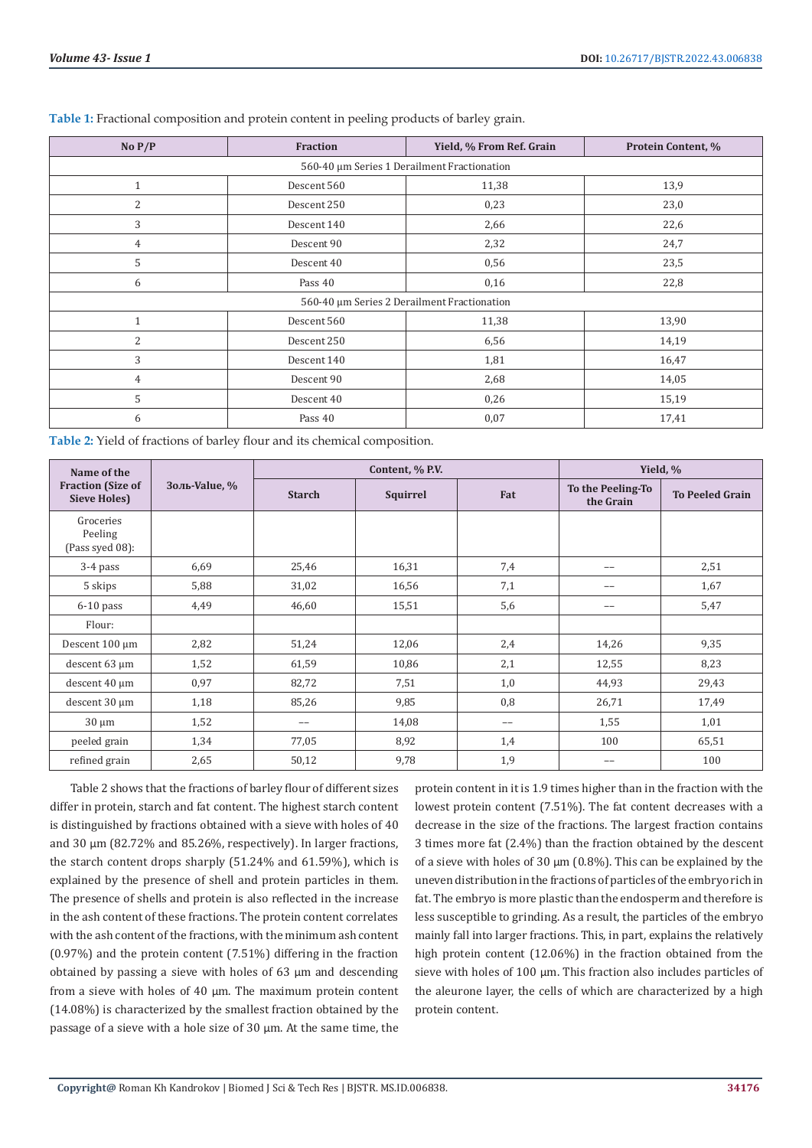| No $P/P$                                    | <b>Fraction</b> | Yield, % From Ref. Grain | Protein Content, % |  |  |  |  |
|---------------------------------------------|-----------------|--------------------------|--------------------|--|--|--|--|
| 560-40 µm Series 1 Derailment Fractionation |                 |                          |                    |  |  |  |  |
| $\mathbf{1}$                                | Descent 560     | 11,38                    | 13,9               |  |  |  |  |
| 2                                           | Descent 250     | 0,23                     | 23,0               |  |  |  |  |
| 3                                           | Descent 140     | 2,66                     | 22,6               |  |  |  |  |
| $\overline{4}$                              | Descent 90      | 2,32                     | 24,7               |  |  |  |  |
| 5                                           | Descent 40      | 0,56                     | 23,5               |  |  |  |  |
| 6                                           | Pass 40         | 0,16                     | 22,8               |  |  |  |  |
| 560-40 µm Series 2 Derailment Fractionation |                 |                          |                    |  |  |  |  |
| $\mathbf{1}$                                | Descent 560     | 11,38                    | 13,90              |  |  |  |  |
| $\overline{2}$                              | Descent 250     | 6,56                     | 14,19              |  |  |  |  |
| 3                                           | Descent 140     | 1,81                     | 16,47              |  |  |  |  |
| 4                                           | Descent 90      | 2,68                     | 14,05              |  |  |  |  |
| 5                                           | Descent 40      | 0,26                     | 15,19              |  |  |  |  |
| 6                                           | Pass 40         | 0,07                     | 17,41              |  |  |  |  |

|  |  | Table 1: Fractional composition and protein content in peeling products of barley grain. |
|--|--|------------------------------------------------------------------------------------------|
|  |  |                                                                                          |

**Table 2:** Yield of fractions of barley flour and its chemical composition.

| Name of the                                     |                  |               | Content, % P.V. | Yield, % |                                |                        |
|-------------------------------------------------|------------------|---------------|-----------------|----------|--------------------------------|------------------------|
| <b>Fraction (Size of</b><br><b>Sieve Holes)</b> | Золь-Value, $\%$ | <b>Starch</b> | Squirrel        | Fat      | To the Peeling-To<br>the Grain | <b>To Peeled Grain</b> |
| Groceries<br>Peeling<br>(Pass syed 08):         |                  |               |                 |          |                                |                        |
| 3-4 pass                                        | 6,69             | 25,46         | 16,31           | 7,4      | --                             | 2,51                   |
| 5 skips                                         | 5,88             | 31,02         | 16,56           | 7,1      | $-$                            | 1,67                   |
| $6-10$ pass                                     | 4,49             | 46,60         | 15,51           | 5,6      | --                             | 5,47                   |
| Flour:                                          |                  |               |                 |          |                                |                        |
| Descent 100 µm                                  | 2,82             | 51,24         | 12,06           | 2,4      | 14,26                          | 9,35                   |
| descent 63 µm                                   | 1,52             | 61,59         | 10,86           | 2,1      | 12,55                          | 8,23                   |
| descent 40 µm                                   | 0,97             | 82,72         | 7,51            | 1,0      | 44,93                          | 29,43                  |
| descent 30 µm                                   | 1,18             | 85,26         | 9,85            | 0,8      | 26,71                          | 17,49                  |
| $30 \mu m$                                      | 1,52             | --            | 14,08           | --       | 1,55                           | 1,01                   |
| peeled grain                                    | 1,34             | 77,05         | 8,92            | 1,4      | 100                            | 65,51                  |
| refined grain                                   | 2,65             | 50,12         | 9,78            | 1,9      | --                             | 100                    |

Table 2 shows that the fractions of barley flour of different sizes differ in protein, starch and fat content. The highest starch content is distinguished by fractions obtained with a sieve with holes of 40 and 30 μm (82.72% and 85.26%, respectively). In larger fractions, the starch content drops sharply (51.24% and 61.59%), which is explained by the presence of shell and protein particles in them. The presence of shells and protein is also reflected in the increase in the ash content of these fractions. The protein content correlates with the ash content of the fractions, with the minimum ash content (0.97%) and the protein content (7.51%) differing in the fraction obtained by passing a sieve with holes of 63 μm and descending from a sieve with holes of 40 μm. The maximum protein content (14.08%) is characterized by the smallest fraction obtained by the passage of a sieve with a hole size of 30 μm. At the same time, the

protein content in it is 1.9 times higher than in the fraction with the lowest protein content (7.51%). The fat content decreases with a decrease in the size of the fractions. The largest fraction contains 3 times more fat (2.4%) than the fraction obtained by the descent of a sieve with holes of 30 μm (0.8%). This can be explained by the uneven distribution in the fractions of particles of the embryo rich in fat. The embryo is more plastic than the endosperm and therefore is less susceptible to grinding. As a result, the particles of the embryo mainly fall into larger fractions. This, in part, explains the relatively high protein content (12.06%) in the fraction obtained from the sieve with holes of 100 μm. This fraction also includes particles of the aleurone layer, the cells of which are characterized by a high protein content.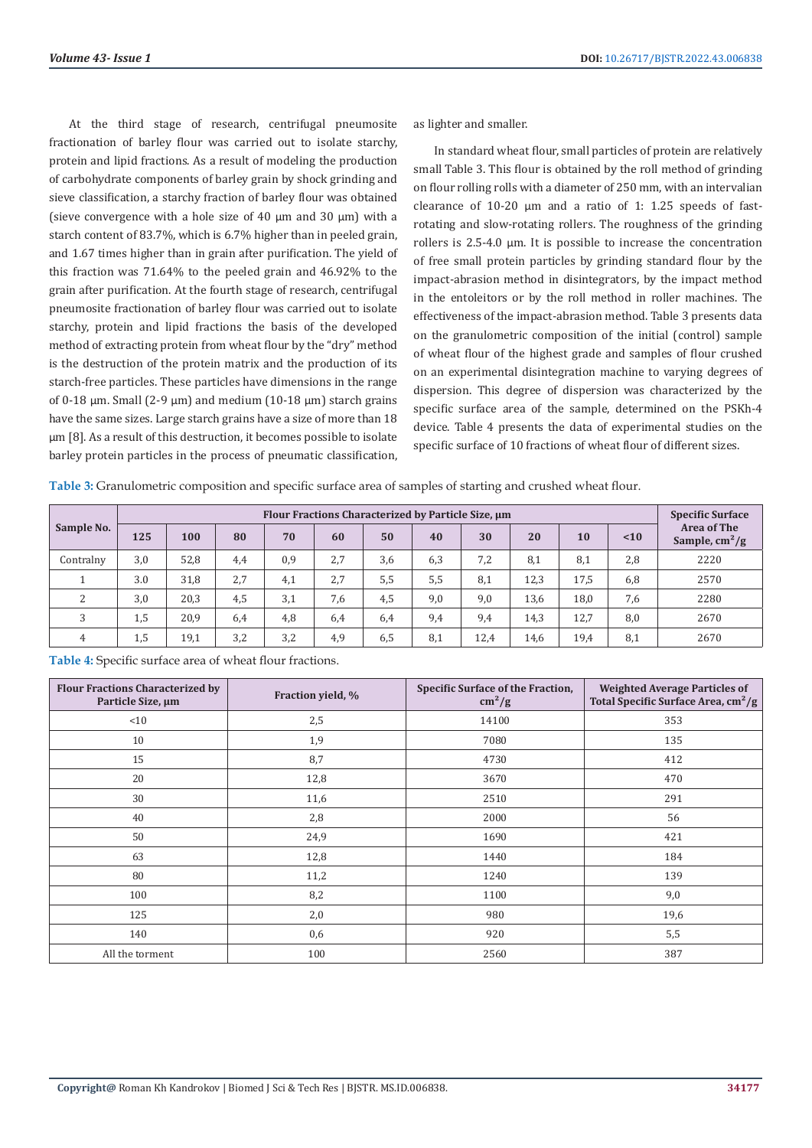At the third stage of research, centrifugal pneumosite fractionation of barley flour was carried out to isolate starchy, protein and lipid fractions. As a result of modeling the production of carbohydrate components of barley grain by shock grinding and sieve classification, a starchy fraction of barley flour was obtained (sieve convergence with a hole size of 40 μm and 30 μm) with a starch content of 83.7%, which is 6.7% higher than in peeled grain, and 1.67 times higher than in grain after purification. The yield of this fraction was 71.64% to the peeled grain and 46.92% to the grain after purification. At the fourth stage of research, centrifugal pneumosite fractionation of barley flour was carried out to isolate starchy, protein and lipid fractions the basis of the developed method of extracting protein from wheat flour by the "dry" method is the destruction of the protein matrix and the production of its starch-free particles. These particles have dimensions in the range of 0-18 μm. Small (2-9 μm) and medium (10-18 μm) starch grains have the same sizes. Large starch grains have a size of more than 18 μm [8]. As a result of this destruction, it becomes possible to isolate barley protein particles in the process of pneumatic classification,

as lighter and smaller.

In standard wheat flour, small particles of protein are relatively small Table 3. This flour is obtained by the roll method of grinding on flour rolling rolls with a diameter of 250 mm, with an intervalian clearance of 10-20 μm and a ratio of 1: 1.25 speeds of fastrotating and slow-rotating rollers. The roughness of the grinding rollers is 2.5-4.0 μm. It is possible to increase the concentration of free small protein particles by grinding standard flour by the impact-abrasion method in disintegrators, by the impact method in the entoleitors or by the roll method in roller machines. The effectiveness of the impact-abrasion method. Table 3 presents data on the granulometric composition of the initial (control) sample of wheat flour of the highest grade and samples of flour crushed on an experimental disintegration machine to varying degrees of dispersion. This degree of dispersion was characterized by the specific surface area of the sample, determined on the PSKh-4 device. Table 4 presents the data of experimental studies on the specific surface of 10 fractions of wheat flour of different sizes.

**Table 3:** Granulometric composition and specific surface area of samples of starting and crushed wheat flour.

|                | Flour Fractions Characterized by Particle Size, μm |      |     |     |     |     |     |      | <b>Specific Surface</b> |      |      |                                                      |
|----------------|----------------------------------------------------|------|-----|-----|-----|-----|-----|------|-------------------------|------|------|------------------------------------------------------|
| Sample No.     | 125                                                | 100  | 80  | 70  | 60  | 50  | 40  | 30   | 20                      | 10   | < 10 | <b>Area of The</b><br>Sample, $\text{cm}^2/\text{g}$ |
| Contralny      | 3,0                                                | 52,8 | 4,4 | 0,9 | 2,7 | 3,6 | 6,3 | 7,2  | 8,1                     | 8,1  | 2,8  | 2220                                                 |
|                | 3.0                                                | 31,8 | 2,7 | 4,1 | 2,7 | 5,5 | 5,5 | 8,1  | 12,3                    | 17,5 | 6,8  | 2570                                                 |
| 2              | 3,0                                                | 20,3 | 4,5 | 3,1 | 7,6 | 4,5 | 9,0 | 9,0  | 13,6                    | 18,0 | 7,6  | 2280                                                 |
| 3              | 1,5                                                | 20,9 | 6,4 | 4,8 | 6,4 | 6,4 | 9,4 | 9,4  | 14,3                    | 12,7 | 8,0  | 2670                                                 |
| $\overline{4}$ | 1,5                                                | 19,1 | 3,2 | 3,2 | 4,9 | 6,5 | 8,1 | 12,4 | 14,6                    | 19,4 | 8,1  | 2670                                                 |

| Table 4: Specific surface area of wheat flour fractions. |  |
|----------------------------------------------------------|--|
|----------------------------------------------------------|--|

| <b>Flour Fractions Characterized by</b><br>Particle Size, µm | Fraction yield, % | Specific Surface of the Fraction,<br>$\text{cm}^2/\text{g}$ | <b>Weighted Average Particles of</b><br>Total Specific Surface Area, cm <sup>2</sup> /g |
|--------------------------------------------------------------|-------------------|-------------------------------------------------------------|-----------------------------------------------------------------------------------------|
| <10                                                          | 2,5               | 14100                                                       | 353                                                                                     |
| 10                                                           | 1,9               | 7080                                                        | 135                                                                                     |
| 15                                                           | 8,7               | 4730                                                        | 412                                                                                     |
| 20                                                           | 12,8              | 3670                                                        | 470                                                                                     |
| 30                                                           | 11,6              | 2510                                                        | 291                                                                                     |
| 40                                                           | 2,8               | 2000                                                        | 56                                                                                      |
| 50                                                           | 24,9              | 1690                                                        | 421                                                                                     |
| 63                                                           | 12,8              | 1440                                                        | 184                                                                                     |
| 80                                                           | 11,2              | 1240                                                        | 139                                                                                     |
| 100                                                          | 8,2               | 1100                                                        | 9,0                                                                                     |
| 125                                                          | 2,0               | 980                                                         | 19,6                                                                                    |
| 140                                                          | 0,6               | 920                                                         | 5,5                                                                                     |
| All the torment                                              | 100               | 2560                                                        | 387                                                                                     |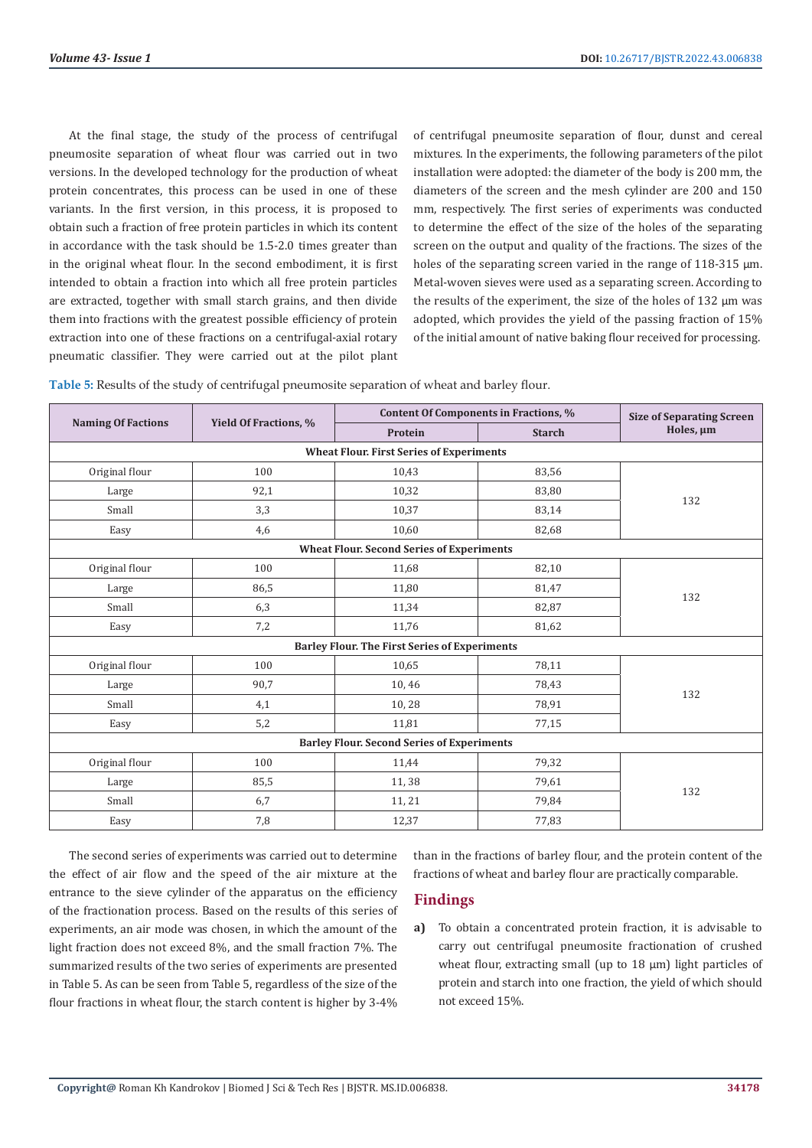At the final stage, the study of the process of centrifugal pneumosite separation of wheat flour was carried out in two versions. In the developed technology for the production of wheat protein concentrates, this process can be used in one of these variants. In the first version, in this process, it is proposed to obtain such a fraction of free protein particles in which its content in accordance with the task should be 1.5-2.0 times greater than in the original wheat flour. In the second embodiment, it is first intended to obtain a fraction into which all free protein particles are extracted, together with small starch grains, and then divide them into fractions with the greatest possible efficiency of protein extraction into one of these fractions on a centrifugal-axial rotary pneumatic classifier. They were carried out at the pilot plant of centrifugal pneumosite separation of flour, dunst and cereal mixtures. In the experiments, the following parameters of the pilot installation were adopted: the diameter of the body is 200 mm, the diameters of the screen and the mesh cylinder are 200 and 150 mm, respectively. The first series of experiments was conducted to determine the effect of the size of the holes of the separating screen on the output and quality of the fractions. The sizes of the holes of the separating screen varied in the range of 118-315 μm. Metal-woven sieves were used as a separating screen. According to the results of the experiment, the size of the holes of 132 μm was adopted, which provides the yield of the passing fraction of 15% of the initial amount of native baking flour received for processing.

**Table 5:** Results of the study of centrifugal pneumosite separation of wheat and barley flour.

|                                                   |                              | Content Of Components in Fractions, %                | <b>Size of Separating Screen</b> |           |  |  |  |
|---------------------------------------------------|------------------------------|------------------------------------------------------|----------------------------------|-----------|--|--|--|
| <b>Naming Of Factions</b>                         | <b>Yield Of Fractions, %</b> | Protein                                              | <b>Starch</b>                    | Holes, µm |  |  |  |
|                                                   |                              | <b>Wheat Flour. First Series of Experiments</b>      |                                  |           |  |  |  |
| Original flour                                    | 100                          | 10,43                                                | 83,56                            |           |  |  |  |
| Large                                             | 92,1                         | 10,32                                                | 83,80                            |           |  |  |  |
| Small                                             | 3,3                          | 10,37                                                | 83,14                            | 132       |  |  |  |
| Easy                                              | 4,6                          | 10,60                                                | 82,68                            |           |  |  |  |
|                                                   |                              | <b>Wheat Flour. Second Series of Experiments</b>     |                                  |           |  |  |  |
| Original flour                                    | 100                          | 11,68                                                | 82,10                            |           |  |  |  |
| Large                                             | 86,5                         | 11,80                                                | 81,47                            | 132       |  |  |  |
| Small                                             | 6,3                          | 11,34                                                | 82,87                            |           |  |  |  |
| Easy                                              | 7,2                          | 11,76                                                | 81,62                            |           |  |  |  |
|                                                   |                              | <b>Barley Flour. The First Series of Experiments</b> |                                  |           |  |  |  |
| Original flour                                    | 100                          | 10,65                                                | 78,11                            |           |  |  |  |
| Large                                             | 90,7                         | 10,46                                                | 78,43                            | 132       |  |  |  |
| Small                                             | 4,1                          | 10,28                                                | 78,91                            |           |  |  |  |
| Easy                                              | 5,2                          | 11,81                                                | 77,15                            |           |  |  |  |
| <b>Barley Flour. Second Series of Experiments</b> |                              |                                                      |                                  |           |  |  |  |
| Original flour                                    | 100                          | 11,44                                                | 79,32                            |           |  |  |  |
| Large                                             | 85,5                         | 11,38                                                | 79,61                            | 132       |  |  |  |
| Small                                             | 6,7                          | 11, 21                                               | 79,84                            |           |  |  |  |
| Easy                                              | 7,8                          | 12,37                                                | 77,83                            |           |  |  |  |

The second series of experiments was carried out to determine the effect of air flow and the speed of the air mixture at the entrance to the sieve cylinder of the apparatus on the efficiency of the fractionation process. Based on the results of this series of experiments, an air mode was chosen, in which the amount of the light fraction does not exceed 8%, and the small fraction 7%. The summarized results of the two series of experiments are presented in Table 5. As can be seen from Table 5, regardless of the size of the flour fractions in wheat flour, the starch content is higher by 3-4%

than in the fractions of barley flour, and the protein content of the fractions of wheat and barley flour are practically comparable.

# **Findings**

**a)** To obtain a concentrated protein fraction, it is advisable to carry out centrifugal pneumosite fractionation of crushed wheat flour, extracting small (up to 18 μm) light particles of protein and starch into one fraction, the yield of which should not exceed 15%.